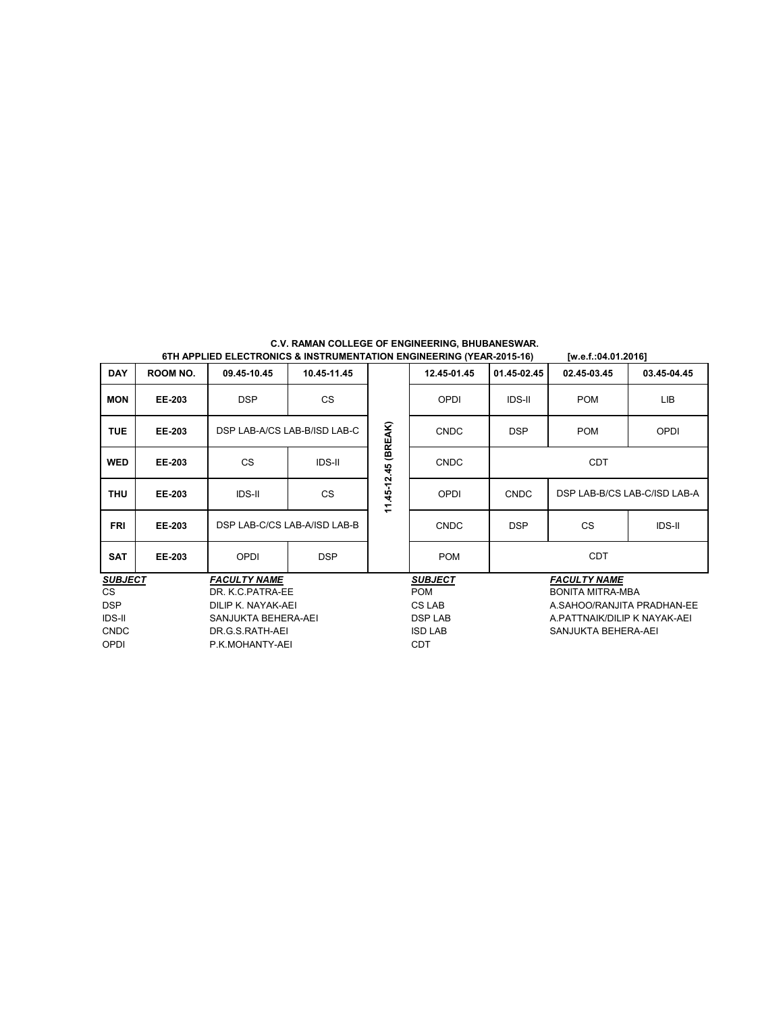| <b>DAY</b>     | <b>ROOM NO.</b>     | 09.45-10.45                  | 10.45-11.45   |                | 12.45-01.45                  | 01.45-02.45                | 02.45-03.45                | 03.45-04.45                  |  |
|----------------|---------------------|------------------------------|---------------|----------------|------------------------------|----------------------------|----------------------------|------------------------------|--|
| <b>MON</b>     | EE-203              | <b>DSP</b>                   | <b>CS</b>     |                | OPDI                         | <b>IDS-II</b>              | <b>POM</b>                 | <b>LIB</b>                   |  |
| <b>TUE</b>     | <b>EE-203</b>       | DSP LAB-A/CS LAB-B/ISD LAB-C |               | (BREAK)        | <b>CNDC</b>                  | <b>DSP</b>                 | <b>POM</b>                 | OPDI                         |  |
| <b>WED</b>     | EE-203              | <b>CS</b>                    | <b>IDS-II</b> |                | <b>CNDC</b>                  |                            | <b>CDT</b>                 |                              |  |
| <b>THU</b>     | EE-203              | <b>IDS-II</b>                | <b>CS</b>     | 11.45-12.45    | OPDI                         | <b>CNDC</b>                |                            | DSP LAB-B/CS LAB-C/ISD LAB-A |  |
| <b>FRI</b>     | EE-203              | DSP LAB-C/CS LAB-A/ISD LAB-B |               |                | <b>CNDC</b>                  | <b>DSP</b>                 | <b>CS</b><br><b>IDS-II</b> |                              |  |
| <b>SAT</b>     | <b>EE-203</b>       | OPDI                         | <b>DSP</b>    |                | <b>POM</b>                   |                            | <b>CDT</b>                 |                              |  |
| <b>SUBJECT</b> |                     | <b>FACULTY NAME</b>          |               |                | <b>SUBJECT</b>               | <b>FACULTY NAME</b>        |                            |                              |  |
| <b>CS</b>      |                     | DR. K.C.PATRA-EE             |               |                | <b>POM</b>                   |                            | <b>BONITA MITRA-MBA</b>    |                              |  |
| <b>DSP</b>     | DILIP K. NAYAK-AEI  |                              |               | CS LAB         |                              | A.SAHOO/RANJITA PRADHAN-EE |                            |                              |  |
| <b>IDS-II</b>  | SANJUKTA BEHERA-AEI |                              |               | <b>DSP LAB</b> | A PATTNAIK/DILIP K NAYAK-AEI |                            |                            |                              |  |
| <b>CNDC</b>    | DR.G.S.RATH-AEI     |                              |               | <b>ISD LAB</b> | SANJUKTA BEHERA-AEI          |                            |                            |                              |  |
| <b>OPDI</b>    | P.K.MOHANTY-AEI     |                              |               | <b>CDT</b>     |                              |                            |                            |                              |  |

# **C.V. RAMAN COLLEGE OF ENGINEERING, BHUBANESWAR. 6TH APPLIED ELECTRONICS & INSTRUMENTATION ENGINEERING (YEAR-2015-16) [w.e.f.:04.01.2016]**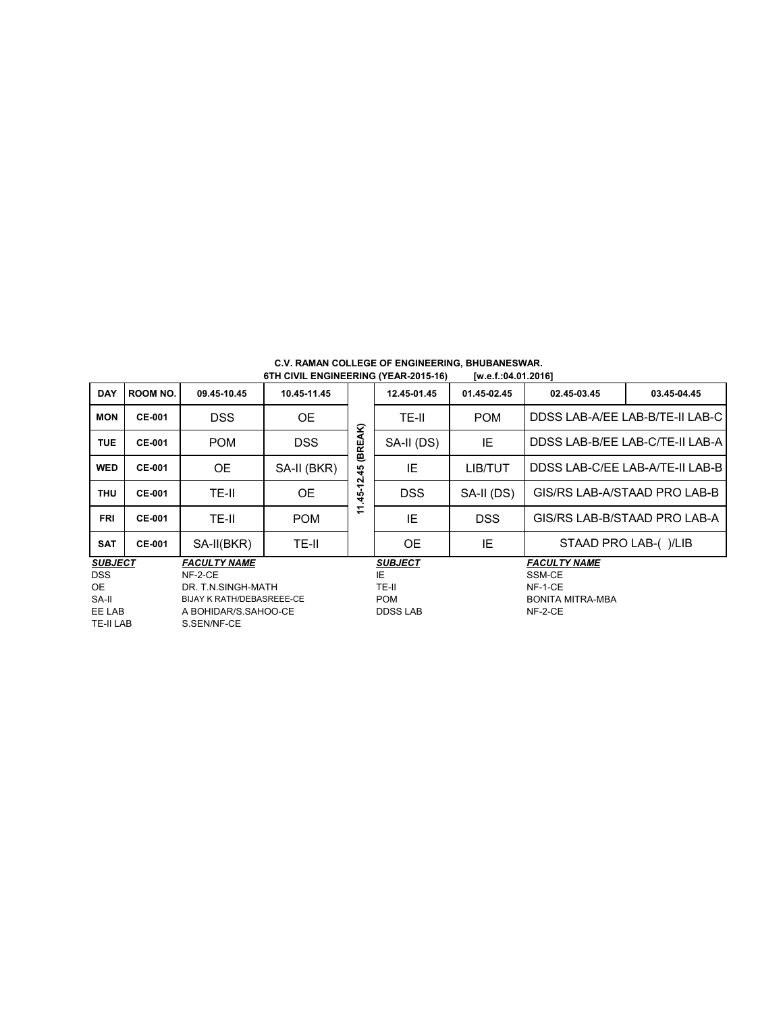| <b>DAY</b>     | ROOM NO.      | 09.45-10.45                      | 10.45-11.45 |                    | 12.45-01.45     | 01.45-02.45 | 02.45-03.45             | 03.45-04.45                     |  |
|----------------|---------------|----------------------------------|-------------|--------------------|-----------------|-------------|-------------------------|---------------------------------|--|
| <b>MON</b>     | <b>CE-001</b> | <b>DSS</b>                       | <b>OE</b>   |                    | TE-II           | <b>POM</b>  |                         | DDSS LAB-A/EE LAB-B/TE-II LAB-C |  |
| <b>TUE</b>     | <b>CE-001</b> | <b>POM</b>                       | <b>DSS</b>  | ΆK)<br>(BRE)       | SA-II (DS)      | IE          |                         | DDSS LAB-B/EE LAB-C/TE-II LAB-A |  |
| <b>WED</b>     | <b>CE-001</b> | <b>OE</b>                        | SA-II (BKR) | 45                 | ΙE              | LIB/TUT     |                         | DDSS LAB-C/EE LAB-A/TE-II LAB-B |  |
| <b>THU</b>     | <b>CE-001</b> | TE-II                            | <b>OE</b>   | ี<br>$\frac{1}{2}$ | <b>DSS</b>      | SA-II (DS)  |                         | GIS/RS LAB-A/STAAD PRO LAB-B    |  |
| <b>FRI</b>     | <b>CE-001</b> | TE-II                            | <b>POM</b>  | ᠆<br>$\div$        | IE              | <b>DSS</b>  |                         | GIS/RS LAB-B/STAAD PRO LAB-A    |  |
| <b>SAT</b>     | <b>CE-001</b> | SA-II(BKR)                       | TE-II       |                    | <b>OE</b>       | IE          | STAAD PRO LAB-()/LIB    |                                 |  |
| <b>SUBJECT</b> |               | <b>FACULTY NAME</b>              |             |                    | <b>SUBJECT</b>  |             | <b>FACULTY NAME</b>     |                                 |  |
| <b>DSS</b>     |               | NF-2-CE                          |             |                    | IE              |             | SSM-CE                  |                                 |  |
| OE.            |               | DR. T.N.SINGH-MATH               |             |                    | TE-II           |             | NF-1-CE                 |                                 |  |
| SA-II          |               | <b>BIJAY K RATH/DEBASREEE-CE</b> |             |                    | <b>POM</b>      |             | <b>BONITA MITRA-MBA</b> |                                 |  |
| EE LAB         |               | A BOHIDAR/S.SAHOO-CE             |             |                    | <b>DDSS LAB</b> |             | $NF-2-CE$               |                                 |  |
| TE-II LAB      |               | S.SEN/NF-CE                      |             |                    |                 |             |                         |                                 |  |

# **C.V. RAMAN COLLEGE OF ENGINEERING, BHUBANESWAR. 6TH CIVIL ENGINEERING (YEAR-2015-16) [w.e.f.:04.01.2016]**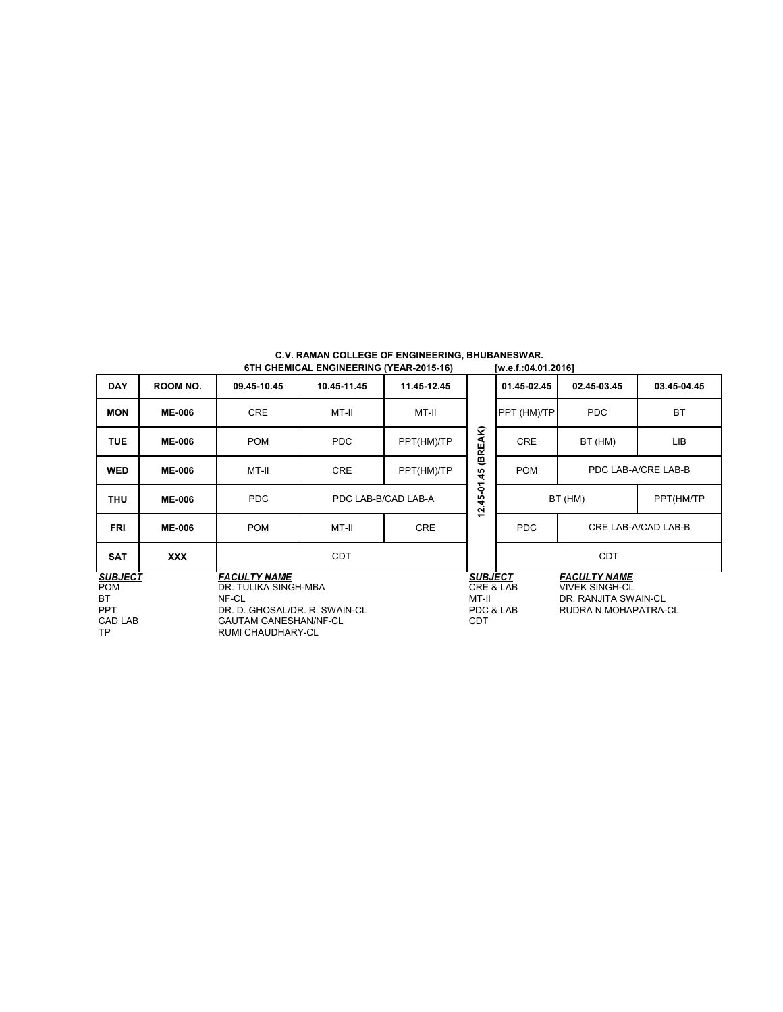| <b>DAY</b>                                                        | ROOM NO.                                                                                                                                   | 09.45-10.45 | 10.45-11.45                    | 11.45-12.45 |                                                                 | 01.45-02.45 | 02.45-03.45                                                                                  | 03.45-04.45         |
|-------------------------------------------------------------------|--------------------------------------------------------------------------------------------------------------------------------------------|-------------|--------------------------------|-------------|-----------------------------------------------------------------|-------------|----------------------------------------------------------------------------------------------|---------------------|
| <b>MON</b>                                                        | <b>ME-006</b>                                                                                                                              | <b>CRE</b>  | MT-II                          | MT-II       |                                                                 | PPT (HM)/TP | PDC                                                                                          | <b>BT</b>           |
| <b>TUE</b>                                                        | <b>ME-006</b>                                                                                                                              | <b>POM</b>  | <b>PDC</b>                     | PPT(HM)/TP  | (BREAK)                                                         | <b>CRE</b>  | BT (HM)                                                                                      | LIB                 |
| <b>WED</b>                                                        | <b>ME-006</b>                                                                                                                              | MT-II       | <b>CRE</b><br>PPT(HM)/TP<br>45 |             |                                                                 | <b>POM</b>  |                                                                                              | PDC LAB-A/CRE LAB-B |
| <b>THU</b>                                                        | <b>ME-006</b>                                                                                                                              | PDC         | PDC LAB-B/CAD LAB-A            |             |                                                                 | BT (HM)     | PPT(HM/TP                                                                                    |                     |
| <b>FRI</b>                                                        | <b>ME-006</b>                                                                                                                              | <b>POM</b>  | MT-II                          | <b>CRE</b>  | $12.45 - 01$                                                    | <b>PDC</b>  |                                                                                              | CRE LAB-A/CAD LAB-B |
| <b>SAT</b>                                                        | <b>XXX</b>                                                                                                                                 |             | <b>CDT</b>                     |             |                                                                 |             | <b>CDT</b>                                                                                   |                     |
| <b>SUBJECT</b><br><b>POM</b><br>ВT<br><b>PPT</b><br>CAD LAB<br>ТP | <b>FACULTY NAME</b><br>DR. TULIKA SINGH-MBA<br>NF-CL<br>DR. D. GHOSAL/DR. R. SWAIN-CL<br><b>GAUTAM GANESHAN/NF-CL</b><br>RUMI CHAUDHARY-CL |             |                                |             | <b>SUBJECT</b><br>CRE & LAB<br>MT-II<br>PDC & LAB<br><b>CDT</b> |             | <b>FACULTY NAME</b><br><b>VIVEK SINGH-CL</b><br>DR. RANJITA SWAIN-CL<br>RUDRA N MOHAPATRA-CL |                     |

| C.V. RAMAN COLLEGE OF ENGINEERING, BHUBANESWAR. |  |                     |
|-------------------------------------------------|--|---------------------|
| 6TH CHEMICAL ENGINEERING (YEAR-2015-16)         |  | [w.e.f.:04.01.2016] |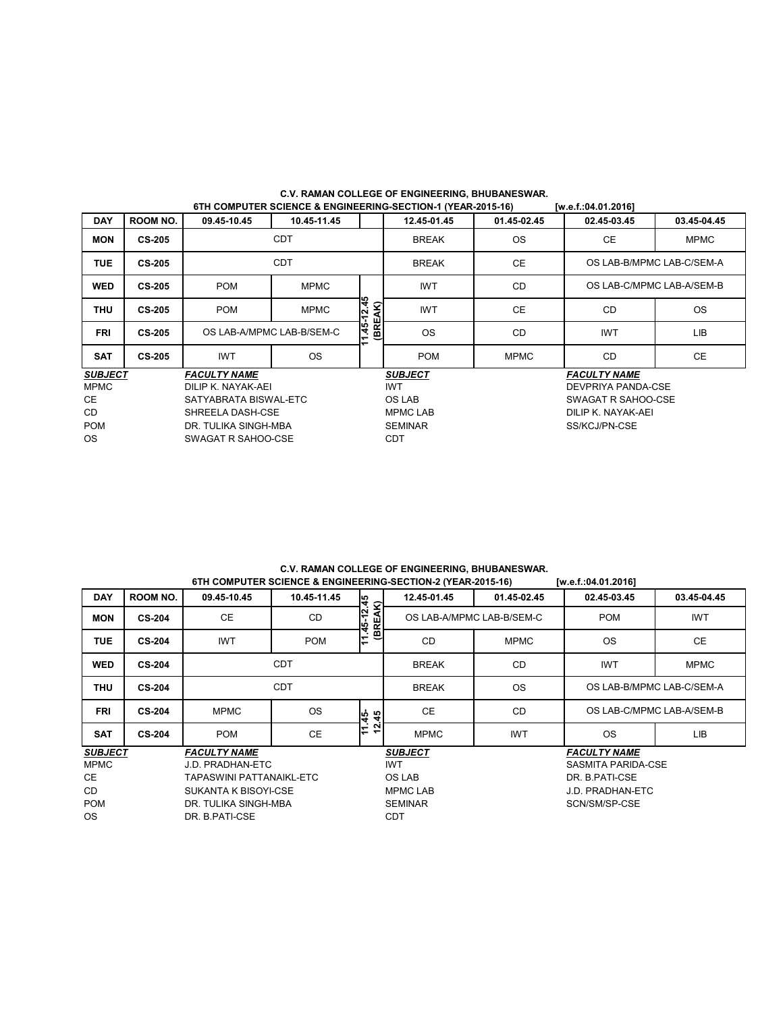| <b>DAY</b>     | <b>ROOM NO.</b> | 09.45-10.45               | 10.45-11.45               |                         | 12.45-01.45     | 01.45-02.45 | 02.45-03.45               | 03.45-04.45               |  |  |
|----------------|-----------------|---------------------------|---------------------------|-------------------------|-----------------|-------------|---------------------------|---------------------------|--|--|
| <b>MON</b>     | <b>CS-205</b>   |                           | <b>CDT</b>                |                         | <b>BREAK</b>    | <b>OS</b>   | CE.                       | <b>MPMC</b>               |  |  |
| <b>TUE</b>     | <b>CS-205</b>   |                           | <b>CDT</b>                |                         | <b>BREAK</b>    | <b>CE</b>   |                           | OS LAB-B/MPMC LAB-C/SEM-A |  |  |
| <b>WED</b>     | <b>CS-205</b>   | <b>POM</b><br><b>MPMC</b> |                           |                         | <b>IWT</b>      | <b>CD</b>   | OS LAB-C/MPMC LAB-A/SEM-B |                           |  |  |
| <b>THU</b>     | <b>CS-205</b>   | <b>POM</b>                | $-12.45$<br><b>MPMC</b>   |                         | <b>IWT</b>      | <b>CE</b>   | <b>CD</b>                 | <b>OS</b>                 |  |  |
| FRI            | <b>CS-205</b>   |                           | OS LAB-A/MPMC LAB-B/SEM-C | (BREAK)<br>٦ę<br>Ļ<br>ᅮ | <b>OS</b>       | CD          | <b>IWT</b>                | <b>LIB</b>                |  |  |
| <b>SAT</b>     | <b>CS-205</b>   | <b>IWT</b>                | OS.                       |                         | <b>POM</b>      | <b>MPMC</b> | <b>CD</b>                 | <b>CE</b>                 |  |  |
| <b>SUBJECT</b> |                 | <b>FACULTY NAME</b>       |                           |                         | <b>SUBJECT</b>  |             | <b>FACULTY NAME</b>       |                           |  |  |
| <b>MPMC</b>    |                 | DILIP K. NAYAK-AEI        |                           |                         | <b>IWT</b>      |             | DEVPRIYA PANDA-CSE        |                           |  |  |
| <b>CE</b>      |                 | SATYABRATA BISWAL-ETC     |                           |                         | OS LAB          |             | SWAGAT R SAHOO-CSE        |                           |  |  |
| CD.            |                 | SHREELA DASH-CSE          |                           |                         | <b>MPMC LAB</b> |             | DILIP K. NAYAK-AEI        |                           |  |  |
| <b>POM</b>     |                 | DR. TULIKA SINGH-MBA      |                           |                         | <b>SEMINAR</b>  |             | SS/KCJ/PN-CSE             |                           |  |  |
| OS.            |                 | SWAGAT R SAHOO-CSE        |                           |                         | <b>CDT</b>      |             |                           |                           |  |  |

## **C.V. RAMAN COLLEGE OF ENGINEERING, BHUBANESWAR. 6TH COMPUTER SCIENCE & ENGINEERING-SECTION-1 (YEAR-2015-16) [w.e.f.:04.01.2016]**

### **C.V. RAMAN COLLEGE OF ENGINEERING, BHUBANESWAR. 6TH COMPUTER SCIENCE & ENGINEERING-SECTION-2 (YEAR-2015-16) [w.e.f.:04.01.2016]**

| 6TH COMPUTER SCIENCE & ENGINEERING-SECTION-2 (YEAR-2015-16)<br>[W.e.t.:04.01.2016] |                             |                          |             |                       |                           |             |                     |                           |  |  |  |
|------------------------------------------------------------------------------------|-----------------------------|--------------------------|-------------|-----------------------|---------------------------|-------------|---------------------|---------------------------|--|--|--|
| <b>DAY</b>                                                                         | ROOM NO.                    | 09.45-10.45              | 10.45-11.45 |                       | 12.45-01.45               | 01.45-02.45 | 02.45-03.45         | 03.45-04.45               |  |  |  |
| <b>MON</b>                                                                         | <b>CS-204</b>               | CE.                      | CD          | 1.45-12.45<br>(BREAK) | OS LAB-A/MPMC LAB-B/SEM-C |             | <b>POM</b>          | <b>IWT</b>                |  |  |  |
| <b>TUE</b>                                                                         | <b>CS-204</b>               | <b>IWT</b>               | <b>POM</b>  | Ξ                     | <b>CD</b>                 | <b>MPMC</b> | <b>OS</b>           | <b>CE</b>                 |  |  |  |
| <b>WED</b>                                                                         | <b>CS-204</b>               |                          | <b>CDT</b>  |                       | <b>BREAK</b>              | <b>CD</b>   | <b>IWT</b>          | <b>MPMC</b>               |  |  |  |
| <b>THU</b>                                                                         | <b>CS-204</b>               | <b>CDT</b>               |             |                       | <b>BREAK</b>              | <b>OS</b>   |                     | OS LAB-B/MPMC LAB-C/SEM-A |  |  |  |
| <b>FRI</b>                                                                         | <b>CS-204</b>               | <b>MPMC</b>              | <b>OS</b>   | $45 -$                | CE.                       | <b>CD</b>   |                     | OS LAB-C/MPMC LAB-A/SEM-B |  |  |  |
| <b>SAT</b>                                                                         | <b>CS-204</b>               | <b>POM</b>               | CE          | ちょ                    | <b>MPMC</b>               | <b>IWT</b>  | OS.                 | LIB                       |  |  |  |
| <b>SUBJECT</b>                                                                     |                             | <b>FACULTY NAME</b>      |             |                       | <b>SUBJECT</b>            |             | <b>FACULTY NAME</b> |                           |  |  |  |
| <b>MPMC</b>                                                                        |                             | J.D. PRADHAN-ETC         |             |                       | <b>IWT</b>                |             | SASMITA PARIDA-CSE  |                           |  |  |  |
| CE                                                                                 |                             | TAPASWINI PATTANAIKL-ETC |             |                       | OS LAB                    |             | DR. B.PATI-CSE      |                           |  |  |  |
| CD.                                                                                | <b>SUKANTA K BISOYI-CSE</b> |                          |             |                       | <b>MPMC LAB</b>           |             | J.D. PRADHAN-ETC    |                           |  |  |  |
| <b>POM</b>                                                                         | DR. TULIKA SINGH-MBA        |                          |             |                       | <b>SEMINAR</b>            |             | SCN/SM/SP-CSE       |                           |  |  |  |
| OS.                                                                                | DR. B.PATI-CSE              |                          |             |                       | <b>CDT</b>                |             |                     |                           |  |  |  |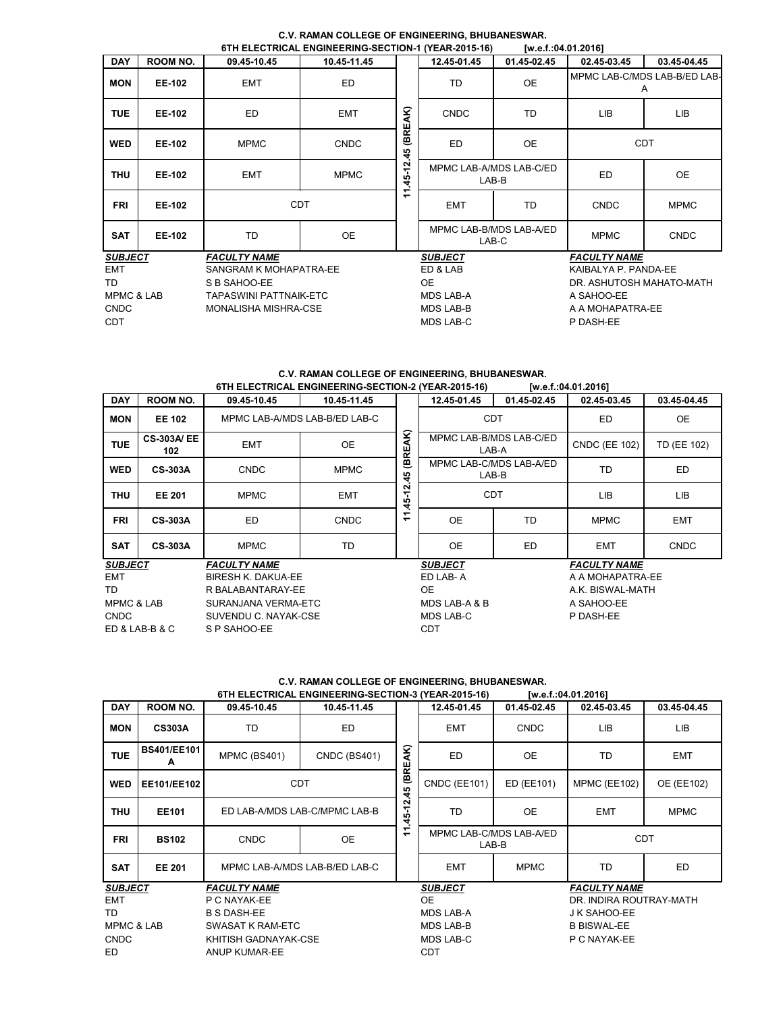|                       |                 |                               | 01 TELECTRICAL ENGINEERING-SECTION-TITEAR-2013-10) |                               |                                  | W.E.I04.01.2010 |                          |                                   |
|-----------------------|-----------------|-------------------------------|----------------------------------------------------|-------------------------------|----------------------------------|-----------------|--------------------------|-----------------------------------|
| <b>DAY</b>            | <b>ROOM NO.</b> | 09.45-10.45                   | 10.45-11.45                                        |                               | 12.45-01.45                      | 01.45-02.45     | 02.45-03.45              | 03.45-04.45                       |
| <b>MON</b>            | <b>EE-102</b>   | <b>EMT</b>                    | ED                                                 |                               | TD                               | <b>OE</b>       |                          | MPMC LAB-C/MDS LAB-B/ED LAB-<br>A |
| <b>TUE</b>            | <b>EE-102</b>   | ED                            | <b>EMT</b>                                         | AK)<br>REJ                    | <b>CNDC</b>                      | TD              | <b>LIB</b>               | LIB                               |
| <b>WED</b>            | <b>EE-102</b>   | <b>MPMC</b>                   | <b>CNDC</b>                                        | e<br>45                       | ED                               | <b>OE</b>       |                          | <b>CDT</b>                        |
| THU                   | <b>EE-102</b>   | <b>EMT</b>                    | <b>MPMC</b>                                        | N<br>۳<br>$\ddot{a}$          | MPMC LAB-A/MDS LAB-C/ED<br>LAB-B |                 | <b>ED</b>                | <b>OE</b>                         |
| <b>FRI</b>            | <b>EE-102</b>   |                               | <b>CDT</b>                                         | ᅮ<br>$\overline{\phantom{0}}$ | <b>EMT</b>                       | TD              | <b>CNDC</b>              | <b>MPMC</b>                       |
| <b>SAT</b>            | <b>EE-102</b>   | TD                            | OE                                                 |                               | MPMC LAB-B/MDS LAB-A/ED<br>LAB-C |                 | <b>MPMC</b>              | <b>CNDC</b>                       |
| <b>SUBJECT</b>        |                 | <b>FACULTY NAME</b>           |                                                    |                               | <b>SUBJECT</b>                   |                 | <b>FACULTY NAME</b>      |                                   |
| EMT                   |                 | SANGRAM K MOHAPATRA-EE        |                                                    | ED & LAB                      |                                  |                 | KAIBALYA P. PANDA-EE     |                                   |
| TD                    |                 | S B SAHOO-EE                  |                                                    |                               | OE.                              |                 | DR. ASHUTOSH MAHATO-MATH |                                   |
| <b>MPMC &amp; LAB</b> |                 | <b>TAPASWINI PATTNAIK-ETC</b> |                                                    |                               | MDS LAB-A                        |                 | A SAHOO-EE               |                                   |
| <b>CNDC</b>           |                 | <b>MONALISHA MISHRA-CSE</b>   |                                                    |                               | <b>MDS LAB-B</b>                 |                 | A A MOHAPATRA-EE         |                                   |
| <b>CDT</b>            |                 |                               |                                                    |                               | <b>MDS LAB-C</b>                 |                 | P DASH-EE                |                                   |

**C.V. RAMAN COLLEGE OF ENGINEERING, BHUBANESWAR. 6TH ELECTRICAL ENGINEERING-SECTION-1 (YEAR-2015-16)** 

# **C.V. RAMAN COLLEGE OF ENGINEERING, BHUBANESWAR.**

|                       | 6TH ELECTRICAL ENGINEERING-SECTION-2 (YEAR-2015-16)<br>[w.e.f.:04.01.2016] |                               |             |                                  |                         |             |                      |             |  |  |  |
|-----------------------|----------------------------------------------------------------------------|-------------------------------|-------------|----------------------------------|-------------------------|-------------|----------------------|-------------|--|--|--|
| <b>DAY</b>            | <b>ROOM NO.</b>                                                            | 09.45-10.45                   | 10.45-11.45 |                                  | 12.45-01.45             | 01.45-02.45 | 02.45-03.45          | 03.45-04.45 |  |  |  |
| <b>MON</b>            | <b>EE 102</b>                                                              | MPMC LAB-A/MDS LAB-B/ED LAB-C |             |                                  | <b>CDT</b>              |             | ED                   | <b>OE</b>   |  |  |  |
| <b>TUE</b>            | <b>CS-303A/EE</b><br>102                                                   | <b>EMT</b>                    | <b>OE</b>   | AK)<br><b>GRE</b>                | MPMC LAB-B/MDS LAB-C/ED | LAB-A       | <b>CNDC (EE 102)</b> | TD (EE 102) |  |  |  |
| <b>WED</b>            | <b>CS-303A</b><br><b>CNDC</b><br><b>MPMC</b>                               |                               | ម្          | MPMC LAB-C/MDS LAB-A/ED<br>LAB-B |                         | TD          | ED.                  |             |  |  |  |
| THU                   | <b>EE 201</b>                                                              | <b>MPMC</b>                   | <b>EMT</b>  | ี<br>ᡪ<br>45                     | <b>CDT</b>              |             | <b>LIB</b>           | LIB         |  |  |  |
| <b>FRI</b>            | <b>CS-303A</b>                                                             | ED                            | <b>CNDC</b> | ᠆<br>$\overline{\phantom{0}}$    | <b>OE</b>               | TD          | <b>MPMC</b>          | <b>EMT</b>  |  |  |  |
| <b>SAT</b>            | <b>CS-303A</b>                                                             | <b>MPMC</b>                   | TD          |                                  | <b>OE</b>               | ED          | <b>EMT</b>           | <b>CNDC</b> |  |  |  |
| <b>SUBJECT</b>        |                                                                            | <b>FACULTY NAME</b>           |             |                                  | <b>SUBJECT</b>          |             | <b>FACULTY NAME</b>  |             |  |  |  |
| <b>EMT</b>            |                                                                            | <b>BIRESH K. DAKUA-EE</b>     |             |                                  | ED LAB-A                |             | A A MOHAPATRA-EE     |             |  |  |  |
| TD                    |                                                                            | R BALABANTARAY-EE             |             |                                  | OE.                     |             | A.K. BISWAL-MATH     |             |  |  |  |
| <b>MPMC &amp; LAB</b> |                                                                            | SURANJANA VERMA-ETC           |             |                                  | MDS LAB-A & B           |             | A SAHOO-EE           |             |  |  |  |
| <b>CNDC</b>           |                                                                            | SUVENDU C. NAYAK-CSE          |             |                                  | MDS LAB-C               |             | P DASH-EE            |             |  |  |  |
|                       | ED & LAB-B & C                                                             | S P SAHOO-EE                  |             |                                  | <b>CDT</b>              |             |                      |             |  |  |  |

## **C.V. RAMAN COLLEGE OF ENGINEERING, BHUBANESWAR. 6TH ELECTRICAL ENGINEERING-SECTION-3 (YEAR-2015-16) [w.e.f.:04.01.2016]**

| <b>DAY</b>            | <b>ROOM NO.</b>         | 09.45-10.45                   | 10.45-11.45         |                  | 12.45-01.45                      | 01.45-02.45  | 02.45-03.45             | 03.45-04.45 |
|-----------------------|-------------------------|-------------------------------|---------------------|------------------|----------------------------------|--------------|-------------------------|-------------|
| <b>MON</b>            | <b>CS303A</b>           | TD                            | ED                  |                  | <b>EMT</b>                       | <b>CNDC</b>  | LIB                     | LIB         |
| <b>TUE</b>            | <b>BS401/EE101</b><br>A | <b>MPMC (BS401)</b>           | <b>CNDC (BS401)</b> | AK)              | <b>ED</b>                        | OE           | <b>TD</b>               | <b>EMT</b>  |
| <b>WED</b>            | EE101/EE102             | <b>CDT</b>                    |                     | (BRE)<br>45      | <b>CNDC (EE101)</b>              | ED (EE101)   | MPMC (EE102)            | OE (EE102)  |
| <b>THU</b>            | <b>EE101</b>            | ED LAB-A/MDS LAB-C/MPMC LAB-B |                     | $-45 - 12$       | TD                               | <b>OE</b>    | <b>EMT</b>              | <b>MPMC</b> |
| <b>FRI</b>            | <b>BS102</b>            | <b>CNDC</b>                   | <b>OE</b>           | Ξ                | MPMC LAB-C/MDS LAB-A/ED<br>LAB-B |              | <b>CDT</b>              |             |
| <b>SAT</b>            | <b>EE 201</b>           | MPMC LAB-A/MDS LAB-B/ED LAB-C |                     |                  | <b>EMT</b>                       | <b>MPMC</b>  | TD                      | ED          |
| <b>SUBJECT</b>        |                         | <b>FACULTY NAME</b>           |                     |                  | <b>SUBJECT</b>                   |              | <b>FACULTY NAME</b>     |             |
| <b>EMT</b>            | P C NAYAK-EE            |                               |                     |                  | 0E                               |              | DR. INDIRA ROUTRAY-MATH |             |
| TD                    | <b>B S DASH-EE</b>      |                               |                     | <b>MDS LAB-A</b> |                                  | J K SAHOO-EE |                         |             |
| <b>MPMC &amp; LAB</b> |                         | <b>SWASAT K RAM-ETC</b>       |                     |                  | <b>MDS LAB-B</b>                 |              | <b>B BISWAL-EE</b>      |             |
| <b>CNDC</b>           |                         | KHITISH GADNAYAK-CSE          |                     |                  | <b>MDS LAB-C</b>                 |              | P C NAYAK-EE            |             |
|                       |                         |                               |                     |                  |                                  |              |                         |             |
| ED                    | ANUP KUMAR-EE           |                               |                     | <b>CDT</b>       |                                  |              |                         |             |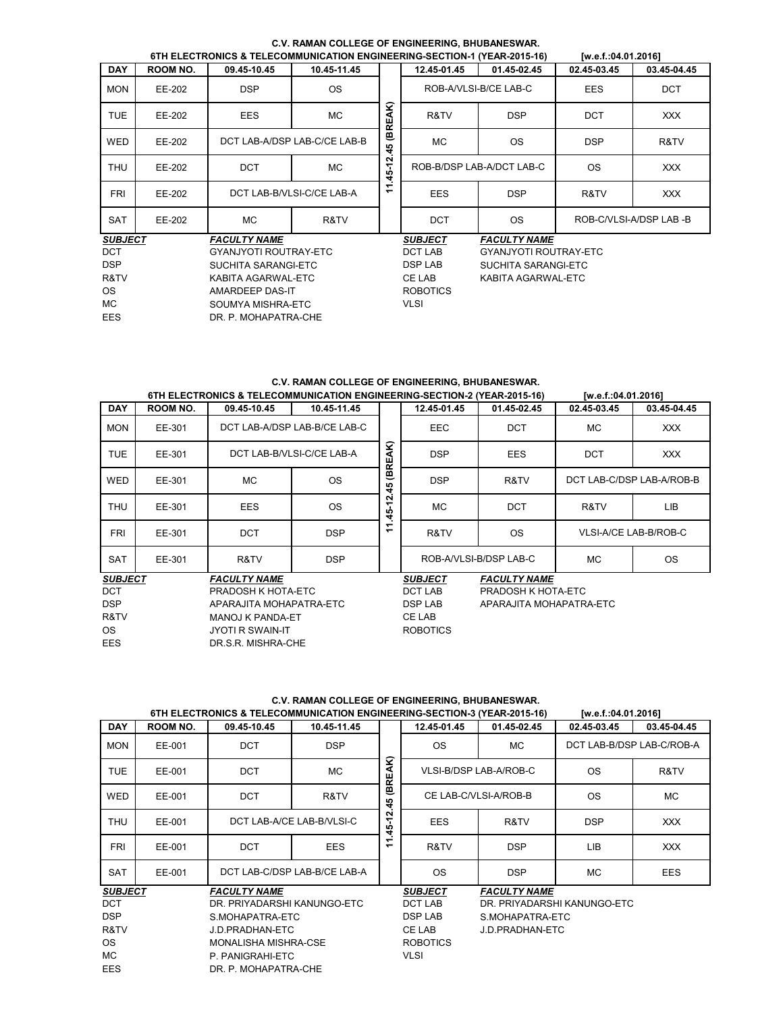|                |                     |                              | 6TH ELECTRONICS & TELECOMMUNICATION ENGINEERING-SECTION-1 (YEAR-2015-16) |            |                 |                              | [w.e.f.:04.01.2016] |                        |
|----------------|---------------------|------------------------------|--------------------------------------------------------------------------|------------|-----------------|------------------------------|---------------------|------------------------|
| <b>DAY</b>     | <b>ROOM NO.</b>     | 09.45-10.45                  | 10.45-11.45                                                              |            | 12.45-01.45     | 01.45-02.45                  | 02.45-03.45         | 03.45-04.45            |
| <b>MON</b>     | EE-202              | <b>DSP</b>                   | <b>OS</b>                                                                |            |                 | ROB-A/VLSI-B/CE LAB-C        | <b>EES</b>          | <b>DCT</b>             |
| <b>TUE</b>     | EE-202              | <b>EES</b>                   | МC                                                                       | (BREAK)    | R&TV            | <b>DSP</b>                   | <b>DCT</b>          | <b>XXX</b>             |
| <b>WED</b>     | EE-202              |                              | DCT LAB-A/DSP LAB-C/CE LAB-B                                             | 45         | <b>MC</b>       | <b>OS</b>                    | <b>DSP</b>          | R&TV                   |
| <b>THU</b>     | EE-202              | <b>DCT</b>                   | МC                                                                       | $-45 - 12$ |                 | ROB-B/DSP LAB-A/DCT LAB-C    | <b>OS</b>           | <b>XXX</b>             |
| <b>FRI</b>     | EE-202              |                              | DCT LAB-B/VLSI-C/CE LAB-A                                                | ᠆<br>÷     | <b>EES</b>      | <b>DSP</b>                   | R&TV                | XXX.                   |
| <b>SAT</b>     | EE-202              | МC                           | R&TV                                                                     |            | <b>DCT</b>      | <b>OS</b>                    |                     | ROB-C/VLSI-A/DSP LAB-B |
| <b>SUBJECT</b> |                     | <b>FACULTY NAME</b>          |                                                                          |            | <b>SUBJECT</b>  | <b>FACULTY NAME</b>          |                     |                        |
| <b>DCT</b>     |                     | <b>GYANJYOTI ROUTRAY-ETC</b> |                                                                          |            | DCT LAB         | <b>GYANJYOTI ROUTRAY-ETC</b> |                     |                        |
| <b>DSP</b>     | SUCHITA SARANGI-ETC |                              |                                                                          |            | <b>DSP LAB</b>  | SUCHITA SARANGI-ETC          |                     |                        |
| R&TV           | KABITA AGARWAL-ETC  |                              |                                                                          |            | CE LAB          | KABITA AGARWAL-ETC           |                     |                        |
| <b>OS</b>      | AMARDEEP DAS-IT     |                              |                                                                          |            | <b>ROBOTICS</b> |                              |                     |                        |
| МC             | SOUMYA MISHRA-ETC   |                              |                                                                          |            | <b>VLSI</b>     |                              |                     |                        |
| EES            |                     | DR. P. MOHAPATRA-CHE         |                                                                          |            |                 |                              |                     |                        |

# **C.V. RAMAN COLLEGE OF ENGINEERING, BHUBANESWAR.**

# **C.V. RAMAN COLLEGE OF ENGINEERING, BHUBANESWAR.**

|                                       | 6TH ELECTRONICS & TELECOMMUNICATION ENGINEERING-SECTION-2 (YEAR-2015-16)<br>Tw.e.f.:04.01.20161 |                         |                                                                          |             |                 |                         |                           |                           |  |  |  |  |  |
|---------------------------------------|-------------------------------------------------------------------------------------------------|-------------------------|--------------------------------------------------------------------------|-------------|-----------------|-------------------------|---------------------------|---------------------------|--|--|--|--|--|
| <b>DAY</b>                            | <b>ROOM NO.</b>                                                                                 | 09.45-10.45             | 10.45-11.45                                                              |             | 12.45-01.45     | 01.45-02.45             | 02.45-03.45               | 03.45-04.45               |  |  |  |  |  |
| <b>MON</b>                            | EE-301                                                                                          |                         | DCT LAB-A/DSP LAB-B/CE LAB-C                                             |             | EEC             | <b>DCT</b>              | MC.                       | <b>XXX</b>                |  |  |  |  |  |
| <b>TUE</b>                            | EE-301                                                                                          |                         | DCT LAB-B/VLSI-C/CE LAB-A                                                | (BREAK)     | <b>DSP</b>      | <b>EES</b>              | <b>DCT</b>                | <b>XXX</b>                |  |  |  |  |  |
| <b>WED</b>                            | EE-301                                                                                          | MC.                     | <b>OS</b>                                                                |             | <b>DSP</b>      | R&TV                    | DCT LAB-C/DSP LAB-A/ROB-B |                           |  |  |  |  |  |
| <b>THU</b>                            | EE-301                                                                                          | <b>EES</b>              | <b>OS</b>                                                                | 11.45-12.45 | <b>MC</b>       | <b>DCT</b>              | R&TV                      | <b>LIB</b>                |  |  |  |  |  |
| <b>FRI</b>                            | EE-301                                                                                          | <b>DCT</b>              | <b>DSP</b>                                                               |             | R&TV            | <b>OS</b>               | VLSI-A/CE LAB-B/ROB-C     |                           |  |  |  |  |  |
| <b>SAT</b>                            | EE-301                                                                                          | R&TV                    | <b>DSP</b>                                                               |             |                 | ROB-A/VLSI-B/DSP LAB-C  | МC                        | <b>OS</b>                 |  |  |  |  |  |
| <b>FACULTY NAME</b><br><b>SUBJECT</b> |                                                                                                 |                         |                                                                          |             | <b>SUBJECT</b>  | <b>FACULTY NAME</b>     |                           |                           |  |  |  |  |  |
| <b>DCT</b>                            |                                                                                                 | PRADOSH K HOTA-ETC      |                                                                          |             | <b>DCT LAB</b>  | PRADOSH K HOTA-ETC      |                           |                           |  |  |  |  |  |
| <b>DSP</b>                            |                                                                                                 | APARAJITA MOHAPATRA-ETC |                                                                          |             | <b>DSP LAB</b>  | APARAJITA MOHAPATRA-ETC |                           |                           |  |  |  |  |  |
| R&TV                                  |                                                                                                 | MANOJ K PANDA-ET        |                                                                          |             | <b>CE LAB</b>   |                         |                           |                           |  |  |  |  |  |
| <b>OS</b>                             |                                                                                                 | <b>JYOTI R SWAIN-IT</b> |                                                                          |             | <b>ROBOTICS</b> |                         |                           |                           |  |  |  |  |  |
| EES                                   |                                                                                                 | DR.S.R. MISHRA-CHE      |                                                                          |             |                 |                         |                           |                           |  |  |  |  |  |
|                                       |                                                                                                 |                         |                                                                          |             |                 |                         |                           |                           |  |  |  |  |  |
|                                       |                                                                                                 |                         | C.V. RAMAN COLLEGE OF ENGINEERING, BHUBANESWAR.                          |             |                 |                         |                           |                           |  |  |  |  |  |
|                                       |                                                                                                 |                         | 6TH ELECTRONICS & TELECOMMUNICATION ENGINEERING-SECTION-3 (YEAR-2015-16) |             |                 |                         | [w.e.f.:04.01.2016]       |                           |  |  |  |  |  |
| <b>DAY</b>                            | <b>ROOM NO.</b>                                                                                 | 09.45-10.45             | 10.45-11.45                                                              |             | 12.45-01.45     | 01.45-02.45             | 02.45-03.45               | 03.45-04.45               |  |  |  |  |  |
| <b>MON</b>                            | EE-001                                                                                          | <b>DCT</b>              | <b>DSP</b>                                                               |             | <b>OS</b>       | <b>MC</b>               |                           | DCT LAB-B/DSP LAB-C/ROB-A |  |  |  |  |  |
|                                       |                                                                                                 |                         |                                                                          | Q           |                 |                         |                           |                           |  |  |  |  |  |

### **C.V. RAMAN COLLEGE OF ENGINEERING, BHUBANESWAR. 6TH ELECTRONICS & TELECOMMUNICATION ENGINEERING-SECTION-3 (YEAR-2015-16) [w.e.f.:04.01.2016]**

|                |                      |                             | 6TH ELECTRONICS & TELECOMMUNICATION ENGINEERING-SECTION-3 (TEAR-2015-16) |                 |                                   |                        | <b>IW.e.t.:04.01.2016</b>   |                           |
|----------------|----------------------|-----------------------------|--------------------------------------------------------------------------|-----------------|-----------------------------------|------------------------|-----------------------------|---------------------------|
| <b>DAY</b>     | ROOM NO.             | 09.45-10.45                 | 10.45-11.45                                                              |                 | 12.45-01.45                       | 01.45-02.45            | 02.45-03.45                 | 03.45-04.45               |
| <b>MON</b>     | EE-001               | <b>DCT</b>                  | <b>DSP</b>                                                               |                 | <b>OS</b>                         | МC                     |                             | DCT LAB-B/DSP LAB-C/ROB-A |
| <b>TUE</b>     | EE-001               | <b>DCT</b>                  | MC.                                                                      | ହ<br>∢<br>REJ   |                                   | VLSI-B/DSP LAB-A/ROB-C | <b>OS</b>                   | R&TV                      |
| <b>WED</b>     | EE-001               | <b>DCT</b>                  | R&TV                                                                     | 画<br>45         |                                   | CE LAB-C/VLSI-A/ROB-B  | <b>OS</b>                   | <b>MC</b>                 |
| THU            | EE-001               |                             | DCT LAB-A/CE LAB-B/VLSI-C                                                | ี<br>45-1       | EES                               | R&TV                   | <b>DSP</b>                  | XXX                       |
| FRI            | EE-001               | <b>DCT</b>                  | <b>EES</b>                                                               | ᠆<br>۰          | R&TV                              | <b>DSP</b>             | LIB                         | XXX.                      |
| <b>SAT</b>     | EE-001               |                             | DCT LAB-C/DSP LAB-B/CE LAB-A                                             |                 | <b>OS</b>                         | <b>DSP</b>             | <b>MC</b>                   | EES                       |
| <b>SUBJECT</b> |                      | <b>FACULTY NAME</b>         |                                                                          |                 | <b>SUBJECT</b>                    | <b>FACULTY NAME</b>    |                             |                           |
| <b>DCT</b>     |                      | DR. PRIYADARSHI KANUNGO-ETC |                                                                          |                 | DCT LAB                           |                        | DR. PRIYADARSHI KANUNGO-ETC |                           |
| <b>DSP</b>     |                      | S.MOHAPATRA-ETC             |                                                                          |                 | <b>DSP LAB</b><br>S.MOHAPATRA-ETC |                        |                             |                           |
| R&TV           |                      | J.D.PRADHAN-ETC             |                                                                          |                 | CE LAB<br>J.D.PRADHAN-ETC         |                        |                             |                           |
| <b>OS</b>      | MONALISHA MISHRA-CSE |                             |                                                                          | <b>ROBOTICS</b> |                                   |                        |                             |                           |
| MC.            | P. PANIGRAHI-ETC     |                             |                                                                          | <b>VLSI</b>     |                                   |                        |                             |                           |
| <b>EES</b>     | DR. P. MOHAPATRA-CHE |                             |                                                                          |                 |                                   |                        |                             |                           |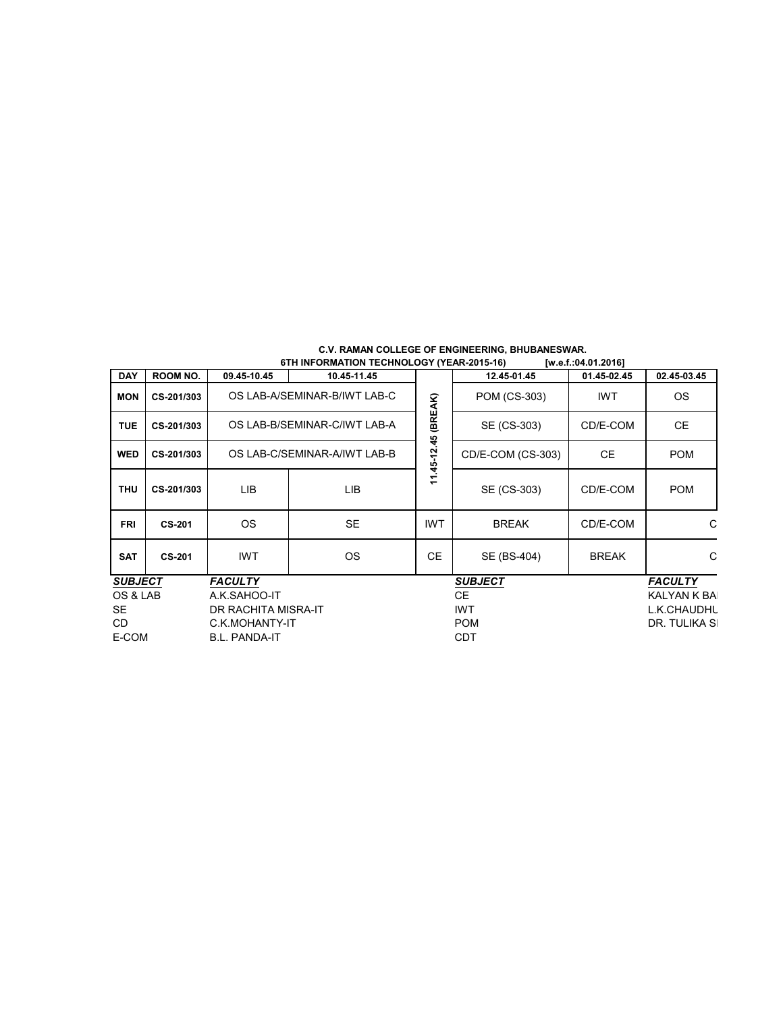| C.V. RAMAN COLLEGE OF ENGINEERING, BHUBANESWAR. |                     |
|-------------------------------------------------|---------------------|
| 6TH INFORMATION TECHNOLOGY (YEAR-2015-16)       | [w.e.f.:04.01.2016] |

| <b>DAY</b>                       | ROOM NO.      | 09.45-10.45                  | 10.45-11.45 |                | 12.45-01.45       | 01.45-02.45    | 02.45-03.45   |
|----------------------------------|---------------|------------------------------|-------------|----------------|-------------------|----------------|---------------|
| <b>MON</b>                       | CS-201/303    | OS LAB-A/SEMINAR-B/IWT LAB-C |             | (BREAK)        | POM (CS-303)      | <b>IWT</b>     | OS.           |
| <b>TUE</b>                       | CS-201/303    | OS LAB-B/SEMINAR-C/IWT LAB-A |             |                | SE (CS-303)       | CD/E-COM       | СE            |
| <b>WED</b>                       | CS-201/303    | OS LAB-C/SEMINAR-A/IWT LAB-B |             |                | CD/E-COM (CS-303) | CE.            | <b>POM</b>    |
| <b>THU</b>                       | CS-201/303    | LIB                          | LIB         | $11.45 - 12$   | SE (CS-303)       | CD/E-COM       | <b>POM</b>    |
| <b>FRI</b>                       | <b>CS-201</b> | OS.                          | <b>SE</b>   | <b>IWT</b>     | <b>BREAK</b>      | CD/E-COM       | С             |
| <b>SAT</b>                       | <b>CS-201</b> | <b>IWT</b>                   | <b>OS</b>   | <b>CE</b>      | SE (BS-404)       | <b>BREAK</b>   | С             |
| <b>FACULTY</b><br><b>SUBJECT</b> |               |                              |             | <b>SUBJECT</b> |                   | <b>FACULTY</b> |               |
| OS & LAB<br>A.K.SAHOO-IT         |               | CE.                          |             | KALYAN K BA    |                   |                |               |
| SE.                              |               | DR RACHITA MISRA-IT          |             | <b>IWT</b>     |                   |                | L.K.CHAUDHL   |
| CD.                              |               | C.K.MOHANTY-IT               |             | <b>POM</b>     |                   |                | DR. TULIKA SI |
| E-COM<br><b>B.L. PANDA-IT</b>    |               |                              | <b>CDT</b>  |                |                   |                |               |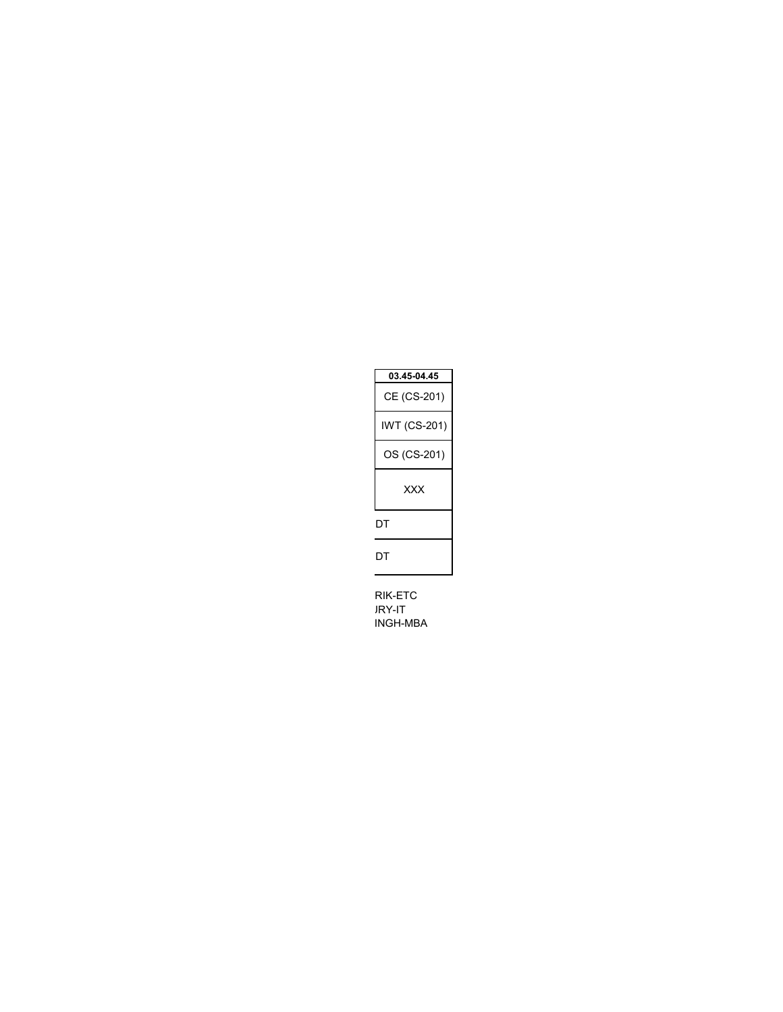| 03.45-04.45  |
|--------------|
| CE (CS-201)  |
| IWT (CS-201) |
| OS (CS-201)  |
| xxx          |
| DТ           |
| DТ           |

RIK-ETC JRY-IT INGH-MBA